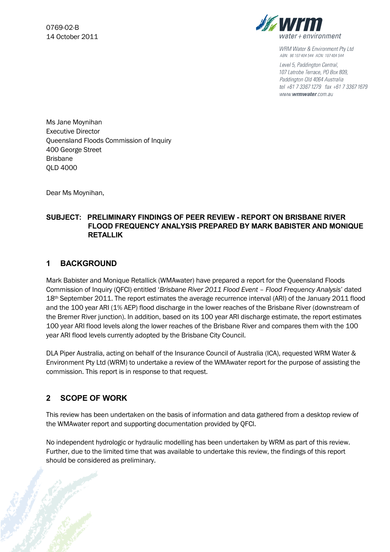

**WRM Water & Environment Pty Ltd** ABN: 96 107 404 544 ACN: 107 404 544

Level 5, Paddington Central, 107 Latrobe Terrace, PO Box 809, Paddington Old 4064 Australia tel +61 7 3367 1279 fax +61 7 3367 1679 www.wrmwater.com.au

Ms Jane Moynihan Executive Director Queensland Floods Commission of Inquiry 400 George Street Brisbane QLD 4000

Dear Ms Moynihan,

#### **SUBJECT: PRELIMINARY FINDINGS OF PEER REVIEW - REPORT ON BRISBANE RIVER FLOOD FREQUENCY ANALYSIS PREPARED BY MARK BABISTER AND MONIQUE RETALLIK**

## **1 BACKGROUND**

Mark Babister and Monique Retallick (WMAwater) have prepared a report for the Queensland Floods Commission of Inquiry (QFCI) entitled '*Brisbane River 2011 Flood Event – Flood Frequency Analysis*' dated 18<sup>th</sup> September 2011. The report estimates the average recurrence interval (ARI) of the January 2011 flood and the 100 year ARI (1% AEP) flood discharge in the lower reaches of the Brisbane River (downstream of the Bremer River junction). In addition, based on its 100 year ARI discharge estimate, the report estimates 100 year ARI flood levels along the lower reaches of the Brisbane River and compares them with the 100 year ARI flood levels currently adopted by the Brisbane City Council.

DLA Piper Australia, acting on behalf of the Insurance Council of Australia (ICA), requested WRM Water & Environment Pty Ltd (WRM) to undertake a review of the WMAwater report for the purpose of assisting the commission. This report is in response to that request.

# **2 SCOPE OF WORK**

This review has been undertaken on the basis of information and data gathered from a desktop review of the WMAwater report and supporting documentation provided by QFCI.

No independent hydrologic or hydraulic modelling has been undertaken by WRM as part of this review. Further, due to the limited time that was available to undertake this review, the findings of this report should be considered as preliminary.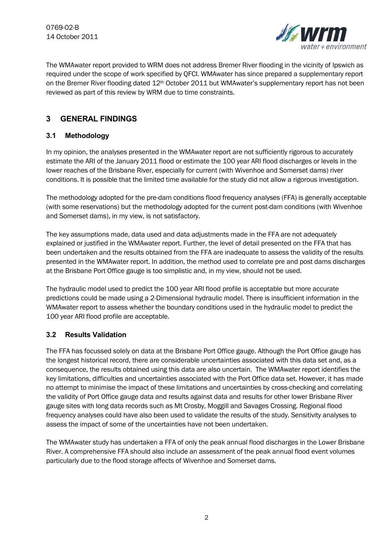

The WMAwater report provided to WRM does not address Bremer River flooding in the vicinity of Ipswich as required under the scope of work specified by QFCI. WMAwater has since prepared a supplementary report on the Bremer River flooding dated 12<sup>th</sup> October 2011 but WMAwater's supplementary report has not been reviewed as part of this review by WRM due to time constraints.

# **3 GENERAL FINDINGS**

## **3.1 Methodology**

In my opinion, the analyses presented in the WMAwater report are not sufficiently rigorous to accurately estimate the ARI of the January 2011 flood or estimate the 100 year ARI flood discharges or levels in the lower reaches of the Brisbane River, especially for current (with Wivenhoe and Somerset dams) river conditions. It is possible that the limited time available for the study did not allow a rigorous investigation.

The methodology adopted for the pre-dam conditions flood frequency analyses (FFA) is generally acceptable (with some reservations) but the methodology adopted for the current post-dam conditions (with Wivenhoe and Somerset dams), in my view, is not satisfactory.

The key assumptions made, data used and data adjustments made in the FFA are not adequately explained or justified in the WMAwater report. Further, the level of detail presented on the FFA that has been undertaken and the results obtained from the FFA are inadequate to assess the validity of the results presented in the WMAwater report. In addition, the method used to correlate pre and post dams discharges at the Brisbane Port Office gauge is too simplistic and, in my view, should not be used.

The hydraulic model used to predict the 100 year ARI flood profile is acceptable but more accurate predictions could be made using a 2-Dimensional hydraulic model. There is insufficient information in the WMAwater report to assess whether the boundary conditions used in the hydraulic model to predict the 100 year ARI flood profile are acceptable.

## **3.2 Results Validation**

The FFA has focussed solely on data at the Brisbane Port Office gauge. Although the Port Office gauge has the longest historical record, there are considerable uncertainties associated with this data set and, as a consequence, the results obtained using this data are also uncertain. The WMAwater report identifies the key limitations, difficulties and uncertainties associated with the Port Office data set. However, it has made no attempt to minimise the impact of these limitations and uncertainties by cross-checking and correlating the validity of Port Office gauge data and results against data and results for other lower Brisbane River gauge sites with long data records such as Mt Crosby, Moggill and Savages Crossing. Regional flood frequency analyses could have also been used to validate the results of the study. Sensitivity analyses to assess the impact of some of the uncertainties have not been undertaken.

The WMAwater study has undertaken a FFA of only the peak annual flood discharges in the Lower Brisbane River. A comprehensive FFA should also include an assessment of the peak annual flood event volumes particularly due to the flood storage affects of Wivenhoe and Somerset dams.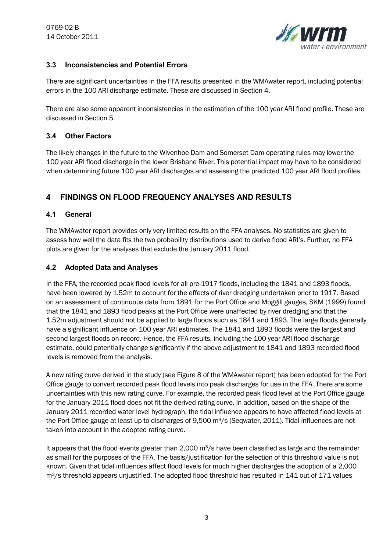

## **3.3 Inconsistencies and Potential Errors**

There are significant uncertainties in the FFA results presented in the WMAwater report, including potential errors in the 100 ARI discharge estimate. These are discussed in Section 4.

There are also some apparent inconsistencies in the estimation of the 100 year ARI flood profile. These are discussed in Section 5.

### **3.4 Other Factors**

The likely changes in the future to the Wivenhoe Dam and Somerset Dam operating rules may lower the 100 year ARI flood discharge in the lower Brisbane River. This potential impact may have to be considered when determining future 100 year ARI discharges and assessing the predicted 100 year ARI flood profiles.

# **4 FINDINGS ON FLOOD FREQUENCY ANALYSES AND RESULTS**

#### **4.1 General**

The WMAwater report provides only very limited results on the FFA analyses. No statistics are given to assess how well the data fits the two probability distributions used to derive flood ARI's. Further, no FFA plots are given for the analyses that exclude the January 2011 flood.

### **4.2 Adopted Data and Analyses**

In the FFA, the recorded peak flood levels for all pre-1917 floods, including the 1841 and 1893 floods, have been lowered by 1.52m to account for the effects of river dredging undertaken prior to 1917. Based on an assessment of continuous data from 1891 for the Port Office and Moggill gauges, SKM (1999) found that the 1841 and 1893 flood peaks at the Port Office were unaffected by river dredging and that the 1.52m adjustment should not be applied to large floods such as 1841 and 1893. The large floods generally have a significant influence on 100 year ARI estimates. The 1841 and 1893 floods were the largest and second largest floods on record. Hence, the FFA results, including the 100 year ARI flood discharge estimate, could potentially change significantly if the above adjustment to 1841 and 1893 recorded flood levels is removed from the analysis.

A new rating curve derived in the study (see Figure 8 of the WMAwater report) has been adopted for the Port Office gauge to convert recorded peak flood levels into peak discharges for use in the FFA. There are some uncertainties with this new rating curve. For example, the recorded peak flood level at the Port Office gauge for the January 2011 flood does not fit the derived rating curve. In addition, based on the shape of the January 2011 recorded water level hydrograph, the tidal influence appears to have affected flood levels at the Port Office gauge at least up to discharges of 9,500 m<sup>3</sup>/s (Seqwater, 2011). Tidal influences are not taken into account in the adopted rating curve.

It appears that the flood events greater than 2,000  $\rm m^3/s$  have been classified as large and the remainder as small for the purposes of the FFA. The basis/justification for the selection of this threshold value is not known. Given that tidal influences affect flood levels for much higher discharges the adoption of a 2,000 m3/s threshold appears unjustified. The adopted flood threshold has resulted in 141 out of 171 values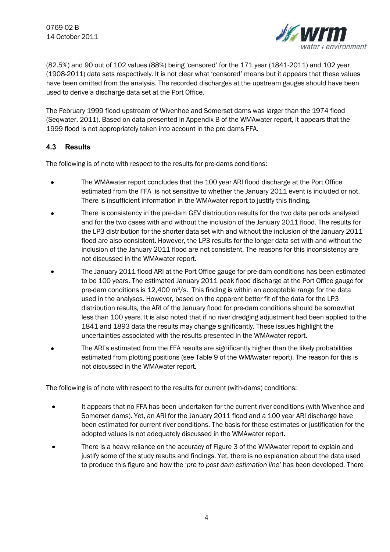

(82.5%) and 90 out of 102 values (88%) being 'censored' for the 171 year (1841-2011) and 102 year (1908-2011) data sets respectively. It is not clear what 'censored' means but it appears that these values have been omitted from the analysis. The recorded discharges at the upstream gauges should have been used to derive a discharge data set at the Port Office.

The February 1999 flood upstream of Wivenhoe and Somerset dams was larger than the 1974 flood (Seqwater, 2011). Based on data presented in Appendix B of the WMAwater report, it appears that the 1999 flood is not appropriately taken into account in the pre dams FFA.

### **4.3 Results**

The following is of note with respect to the results for pre-dams conditions:

- The WMAwater report concludes that the 100 year ARI flood discharge at the Port Office  $\bullet$ estimated from the FFA is not sensitive to whether the January 2011 event is included or not. There is insufficient information in the WMAwater report to justify this finding.
- There is consistency in the pre-dam GEV distribution results for the two data periods analysed and for the two cases with and without the inclusion of the January 2011 flood. The results for the LP3 distribution for the shorter data set with and without the inclusion of the January 2011 flood are also consistent. However, the LP3 results for the longer data set with and without the inclusion of the January 2011 flood are not consistent. The reasons for this inconsistency are not discussed in the WMAwater report.
- The January 2011 flood ARI at the Port Office gauge for pre-dam conditions has been estimated  $\bullet$ to be 100 years. The estimated January 2011 peak flood discharge at the Port Office gauge for pre-dam conditions is  $12,400$  m<sup>3</sup>/s. This finding is within an acceptable range for the data used in the analyses. However, based on the apparent better fit of the data for the LP3 distribution results, the ARI of the January flood for pre-dam conditions should be somewhat less than 100 years. It is also noted that if no river dredging adjustment had been applied to the 1841 and 1893 data the results may change significantly. These issues highlight the uncertainties associated with the results presented in the WMAwater report.
- The ARI's estimated from the FFA results are significantly higher than the likely probabilities estimated from plotting positions (see Table 9 of the WMAwater report). The reason for this is not discussed in the WMAwater report.

The following is of note with respect to the results for current (with-dams) conditions:

- It appears that no FFA has been undertaken for the current river conditions (with Wivenhoe and Somerset dams). Yet, an ARI for the January 2011 flood and a 100 year ARI discharge have been estimated for current river conditions. The basis for these estimates or justification for the adopted values is not adequately discussed in the WMAwater report.
- There is a heavy reliance on the accuracy of Figure 3 of the WMAwater report to explain and justify some of the study results and findings. Yet, there is no explanation about the data used to produce this figure and how the '*pre to post dam estimation line'* has been developed. There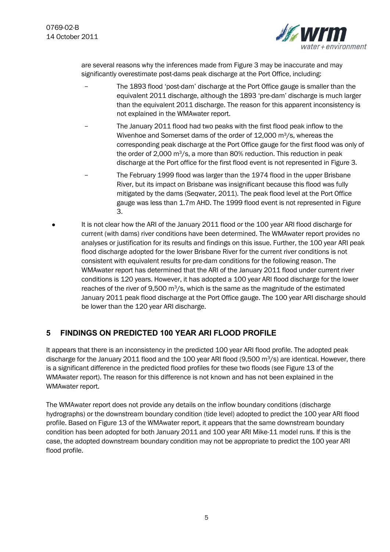

are several reasons why the inferences made from Figure 3 may be inaccurate and may significantly overestimate post-dams peak discharge at the Port Office, including:

- The 1893 flood 'post-dam' discharge at the Port Office gauge is smaller than the equivalent 2011 discharge, although the 1893 'pre-dam' discharge is much larger than the equivalent 2011 discharge. The reason for this apparent inconsistency is not explained in the WMAwater report.
- The January 2011 flood had two peaks with the first flood peak inflow to the Wivenhoe and Somerset dams of the order of 12,000 m<sup>3</sup>/s, whereas the corresponding peak discharge at the Port Office gauge for the first flood was only of the order of 2,000 m<sup>3</sup>/s, a more than 80% reduction. This reduction in peak discharge at the Port office for the first flood event is not represented in Figure 3.
- The February 1999 flood was larger than the 1974 flood in the upper Brisbane River, but its impact on Brisbane was insignificant because this flood was fully mitigated by the dams (Seqwater, 2011). The peak flood level at the Port Office gauge was less than 1.7m AHD. The 1999 flood event is not represented in Figure 3.
- It is not clear how the ARI of the January 2011 flood or the 100 year ARI flood discharge for current (with dams) river conditions have been determined. The WMAwater report provides no analyses or justification for its results and findings on this issue. Further, the 100 year ARI peak flood discharge adopted for the lower Brisbane River for the current river conditions is not consistent with equivalent results for pre-dam conditions for the following reason. The WMAwater report has determined that the ARI of the January 2011 flood under current river conditions is 120 years. However, it has adopted a 100 year ARI flood discharge for the lower reaches of the river of 9,500  $\text{m}^3$ /s, which is the same as the magnitude of the estimated January 2011 peak flood discharge at the Port Office gauge. The 100 year ARI discharge should be lower than the 120 year ARI discharge.

# **5 FINDINGS ON PREDICTED 100 YEAR ARI FLOOD PROFILE**

It appears that there is an inconsistency in the predicted 100 year ARI flood profile. The adopted peak discharge for the January 2011 flood and the 100 year ARI flood (9,500 m<sup>3</sup>/s) are identical. However, there is a significant difference in the predicted flood profiles for these two floods (see Figure 13 of the WMAwater report). The reason for this difference is not known and has not been explained in the WMAwater report.

The WMAwater report does not provide any details on the inflow boundary conditions (discharge hydrographs) or the downstream boundary condition (tide level) adopted to predict the 100 year ARI flood profile. Based on Figure 13 of the WMAwater report, it appears that the same downstream boundary condition has been adopted for both January 2011 and 100 year ARI Mike-11 model runs. If this is the case, the adopted downstream boundary condition may not be appropriate to predict the 100 year ARI flood profile.